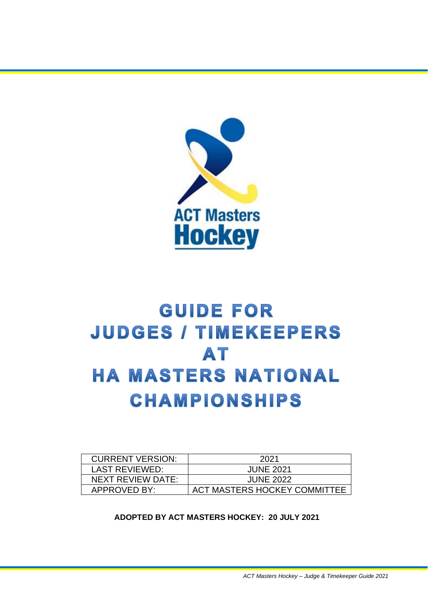

## **GUIDE FOR JUDGES / TIMEKEEPERS** AT **HA MASTERS NATIONAL CHAMPIONSHIPS**

| <b>CURRENT VERSION:</b> | 2021                                |
|-------------------------|-------------------------------------|
| <b>LAST REVIEWED:</b>   | <b>JUNE 2021</b>                    |
| NEXT REVIEW DATE:       | <b>JUNE 2022</b>                    |
| <b>APPROVED BY:</b>     | <b>ACT MASTERS HOCKEY COMMITTEE</b> |

**ADOPTED BY ACT MASTERS HOCKEY: 20 JULY 2021**